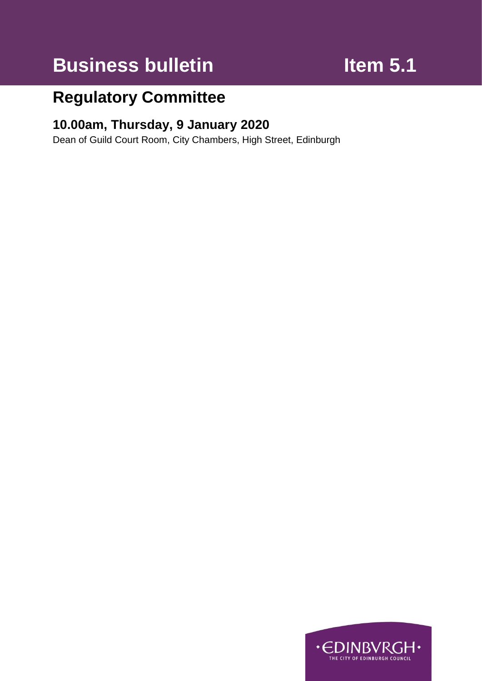# **Business bulletin Item 5.1**

# **Regulatory Committee**

# **10.00am, Thursday, 9 January 2020**

Dean of Guild Court Room, City Chambers, High Street, Edinburgh

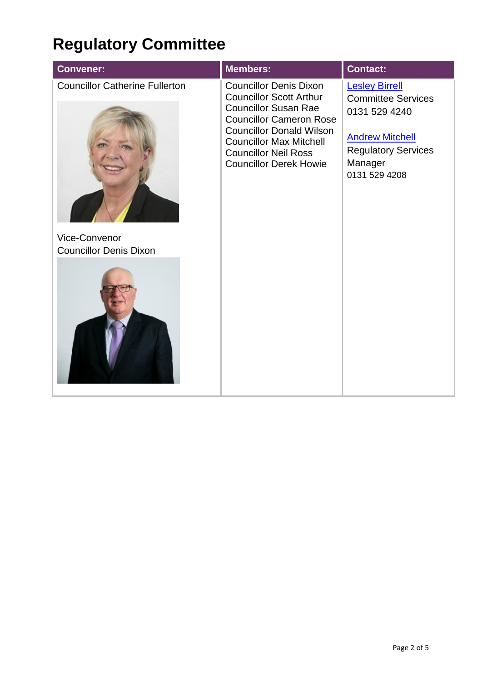# **Regulatory Committee**

| <b>Convener:</b>                                                                        | <b>Members:</b>                                                                                                                                                                                                                                                       | <b>Contact:</b>                                                                                                                                         |
|-----------------------------------------------------------------------------------------|-----------------------------------------------------------------------------------------------------------------------------------------------------------------------------------------------------------------------------------------------------------------------|---------------------------------------------------------------------------------------------------------------------------------------------------------|
| <b>Councillor Catherine Fullerton</b><br>Vice-Convenor<br><b>Councillor Denis Dixon</b> | <b>Councillor Denis Dixon</b><br><b>Councillor Scott Arthur</b><br><b>Councillor Susan Rae</b><br><b>Councillor Cameron Rose</b><br><b>Councillor Donald Wilson</b><br><b>Councillor Max Mitchell</b><br><b>Councillor Neil Ross</b><br><b>Councillor Derek Howie</b> | <b>Lesley Birrell</b><br><b>Committee Services</b><br>0131 529 4240<br><b>Andrew Mitchell</b><br><b>Regulatory Services</b><br>Manager<br>0131 529 4208 |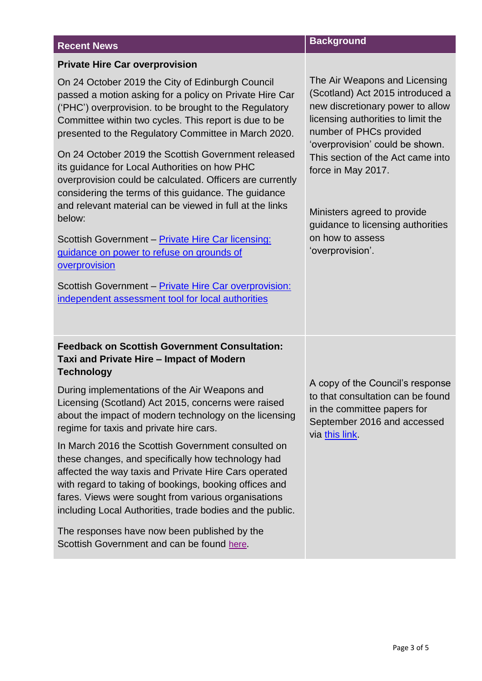### **Recent News Background Private Hire Car overprovision** On 24 October 2019 the City of Edinburgh Council passed a motion asking for a policy on Private Hire Car ('PHC') overprovision. to be brought to the Regulatory Committee within two cycles. This report is due to be presented to the Regulatory Committee in March 2020. On 24 October 2019 the Scottish Government released its guidance for Local Authorities on how PHC overprovision could be calculated. Officers are currently considering the terms of this guidance. The guidance and relevant material can be viewed in full at the links below: Scottish Government – [Private Hire Car licensing:](https://www.gov.scot/publications/civic-government-scotland-act-1982-guidance-power-refuse-grant-private-hire-car-licences-grounds-overprovision/)  [guidance on power to refuse on grounds of](https://www.gov.scot/publications/civic-government-scotland-act-1982-guidance-power-refuse-grant-private-hire-car-licences-grounds-overprovision/)  [overprovision](https://www.gov.scot/publications/civic-government-scotland-act-1982-guidance-power-refuse-grant-private-hire-car-licences-grounds-overprovision/) Scottish Government – [Private Hire Car overprovision:](https://www.gov.scot/publications/private-hire-car-overprovision-assessment-potential-assessment-tools-independent-report-produced-scottish-government/)  [independent assessment tool for local authorities](https://www.gov.scot/publications/private-hire-car-overprovision-assessment-potential-assessment-tools-independent-report-produced-scottish-government/) The Air Weapons and Licensing (Scotland) Act 2015 introduced a new discretionary power to allow licensing authorities to limit the number of PHCs provided 'overprovision' could be shown. This section of the Act came into force in May 2017. Ministers agreed to provide guidance to licensing authorities on how to assess 'overprovision'. **Feedback on Scottish Government Consultation: Taxi and Private Hire – Impact of Modern Technology** During implementations of the Air Weapons and Licensing (Scotland) Act 2015, concerns were raised about the impact of modern technology on the licensing regime for taxis and private hire cars. In March 2016 the Scottish Government consulted on these changes, and specifically how technology had affected the way taxis and Private Hire Cars operated A copy of the Council's response to that consultation can be found in the committee papers for September 2016 and accessed via [this link.](https://democracy.edinburgh.gov.uk/Data/Regulatory%20Committee/20160919/Agenda/full_meeting_papers.pdf)

with regard to taking of bookings, booking offices and fares. Views were sought from various organisations including Local Authorities, trade bodies and the public.

The responses have now been published by the Scottish Government and can be found [here](https://www.gov.scot/publications/taxi-private-hire-car-licensing-impact-modern-technology-summary-consultation-responses/).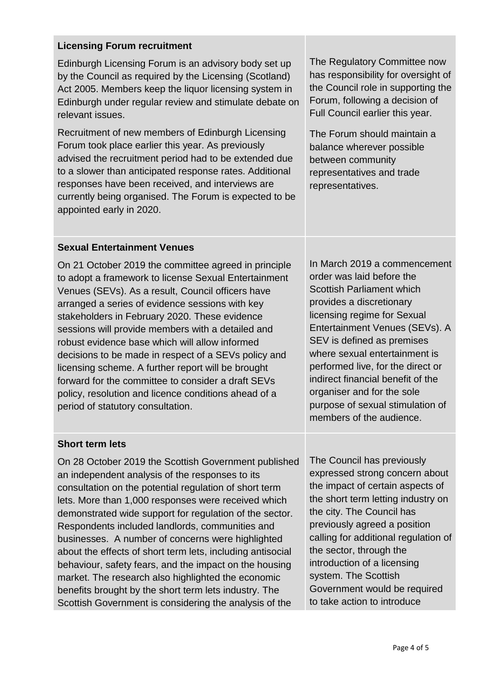### **Licensing Forum recruitment**

Edinburgh Licensing Forum is an advisory body set up by the Council as required by the Licensing (Scotland) Act 2005. Members keep the liquor licensing system in Edinburgh under regular review and stimulate debate on relevant issues.

Recruitment of new members of Edinburgh Licensing Forum took place earlier this year. As previously advised the recruitment period had to be extended due to a slower than anticipated response rates. Additional responses have been received, and interviews are currently being organised. The Forum is expected to be appointed early in 2020.

The Regulatory Committee now has responsibility for oversight of the Council role in supporting the Forum, following a decision of Full Council earlier this year.

The Forum should maintain a balance wherever possible between community representatives and trade representatives.

### **Sexual Entertainment Venues**

On 21 October 2019 the committee agreed in principle to adopt a framework to license Sexual Entertainment Venues (SEVs). As a result, Council officers have arranged a series of evidence sessions with key stakeholders in February 2020. These evidence sessions will provide members with a detailed and robust evidence base which will allow informed decisions to be made in respect of a SEVs policy and licensing scheme. A further report will be brought forward for the committee to consider a draft SEVs policy, resolution and licence conditions ahead of a period of statutory consultation.

In March 2019 a commencement order was laid before the Scottish Parliament which provides a discretionary licensing regime for Sexual Entertainment Venues (SEVs). A SEV is defined as premises where sexual entertainment is performed live, for the direct or indirect financial benefit of the organiser and for the sole purpose of sexual stimulation of members of the audience.

### **Short term lets**

On 28 October 2019 the Scottish Government published an independent analysis of the responses to its consultation on the potential regulation of short term lets. More than 1,000 responses were received which demonstrated wide support for regulation of the sector. Respondents included landlords, communities and businesses. A number of concerns were highlighted about the effects of short term lets, including antisocial behaviour, safety fears, and the impact on the housing market. The research also highlighted the economic benefits brought by the short term lets industry. The Scottish Government is considering the analysis of the

The Council has previously expressed strong concern about the impact of certain aspects of the short term letting industry on the city. The Council has previously agreed a position calling for additional regulation of the sector, through the introduction of a licensing system. The Scottish Government would be required to take action to introduce